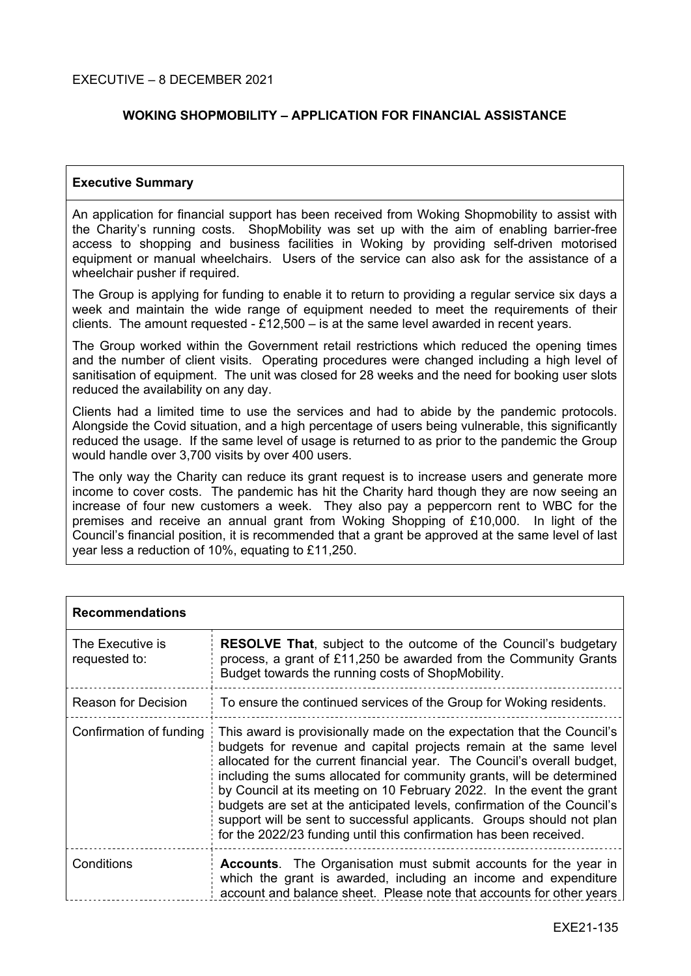#### EXECUTIVE – 8 DECEMBER 2021

### **WOKING SHOPMOBILITY – APPLICATION FOR FINANCIAL ASSISTANCE**

#### **Executive Summary**

An application for financial support has been received from Woking Shopmobility to assist with the Charity's running costs. ShopMobility was set up with the aim of enabling barrier-free access to shopping and business facilities in Woking by providing self-driven motorised equipment or manual wheelchairs. Users of the service can also ask for the assistance of a wheelchair pusher if required.

The Group is applying for funding to enable it to return to providing a regular service six days a week and maintain the wide range of equipment needed to meet the requirements of their clients. The amount requested  $-$  £12,500 – is at the same level awarded in recent years.

The Group worked within the Government retail restrictions which reduced the opening times and the number of client visits. Operating procedures were changed including a high level of sanitisation of equipment. The unit was closed for 28 weeks and the need for booking user slots reduced the availability on any day.

Clients had a limited time to use the services and had to abide by the pandemic protocols. Alongside the Covid situation, and a high percentage of users being vulnerable, this significantly reduced the usage. If the same level of usage is returned to as prior to the pandemic the Group would handle over 3,700 visits by over 400 users.

The only way the Charity can reduce its grant request is to increase users and generate more income to cover costs. The pandemic has hit the Charity hard though they are now seeing an increase of four new customers a week. They also pay a peppercorn rent to WBC for the premises and receive an annual grant from Woking Shopping of £10,000. In light of the Council's financial position, it is recommended that a grant be approved at the same level of last year less a reduction of 10%, equating to £11,250.

| <b>Recommendations</b>            |                                                                                                                                                                                                                                                                                                                                                                                                                                                                                                                                                                                                     |
|-----------------------------------|-----------------------------------------------------------------------------------------------------------------------------------------------------------------------------------------------------------------------------------------------------------------------------------------------------------------------------------------------------------------------------------------------------------------------------------------------------------------------------------------------------------------------------------------------------------------------------------------------------|
| The Executive is<br>requested to: | <b>RESOLVE That, subject to the outcome of the Council's budgetary</b><br>process, a grant of £11,250 be awarded from the Community Grants<br>Budget towards the running costs of ShopMobility.                                                                                                                                                                                                                                                                                                                                                                                                     |
| Reason for Decision               | To ensure the continued services of the Group for Woking residents.                                                                                                                                                                                                                                                                                                                                                                                                                                                                                                                                 |
| Confirmation of funding           | This award is provisionally made on the expectation that the Council's<br>budgets for revenue and capital projects remain at the same level<br>allocated for the current financial year. The Council's overall budget,<br>including the sums allocated for community grants, will be determined<br>by Council at its meeting on 10 February 2022. In the event the grant<br>budgets are set at the anticipated levels, confirmation of the Council's<br>support will be sent to successful applicants. Groups should not plan<br>for the 2022/23 funding until this confirmation has been received. |
| Conditions                        | <b>Accounts.</b> The Organisation must submit accounts for the year in<br>which the grant is awarded, including an income and expenditure<br>account and balance sheet. Please note that accounts for other years                                                                                                                                                                                                                                                                                                                                                                                   |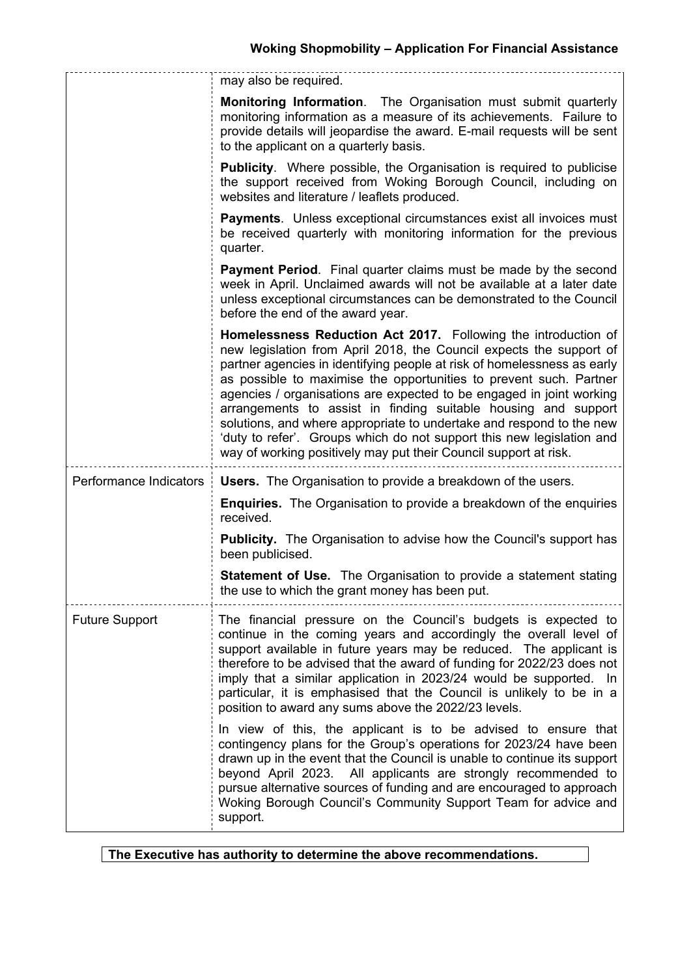|                        | may also be required.                                                                                                                                                                                                                                                                                                                                                                                                                                                                                                                                                                                                                                 |
|------------------------|-------------------------------------------------------------------------------------------------------------------------------------------------------------------------------------------------------------------------------------------------------------------------------------------------------------------------------------------------------------------------------------------------------------------------------------------------------------------------------------------------------------------------------------------------------------------------------------------------------------------------------------------------------|
|                        | <b>Monitoring Information.</b> The Organisation must submit quarterly<br>monitoring information as a measure of its achievements. Failure to<br>provide details will jeopardise the award. E-mail requests will be sent<br>to the applicant on a quarterly basis.                                                                                                                                                                                                                                                                                                                                                                                     |
|                        | <b>Publicity.</b> Where possible, the Organisation is required to publicise<br>the support received from Woking Borough Council, including on<br>websites and literature / leaflets produced.                                                                                                                                                                                                                                                                                                                                                                                                                                                         |
|                        | <b>Payments.</b> Unless exceptional circumstances exist all invoices must<br>be received quarterly with monitoring information for the previous<br>quarter.                                                                                                                                                                                                                                                                                                                                                                                                                                                                                           |
|                        | <b>Payment Period.</b> Final quarter claims must be made by the second<br>week in April. Unclaimed awards will not be available at a later date<br>unless exceptional circumstances can be demonstrated to the Council<br>before the end of the award year.                                                                                                                                                                                                                                                                                                                                                                                           |
|                        | Homelessness Reduction Act 2017. Following the introduction of<br>new legislation from April 2018, the Council expects the support of<br>partner agencies in identifying people at risk of homelessness as early<br>as possible to maximise the opportunities to prevent such. Partner<br>agencies / organisations are expected to be engaged in joint working<br>arrangements to assist in finding suitable housing and support<br>solutions, and where appropriate to undertake and respond to the new<br>'duty to refer'. Groups which do not support this new legislation and<br>way of working positively may put their Council support at risk. |
| Performance Indicators | <b>Users.</b> The Organisation to provide a breakdown of the users.                                                                                                                                                                                                                                                                                                                                                                                                                                                                                                                                                                                   |
|                        | <b>Enquiries.</b> The Organisation to provide a breakdown of the enquiries<br>received.                                                                                                                                                                                                                                                                                                                                                                                                                                                                                                                                                               |
|                        | <b>Publicity.</b> The Organisation to advise how the Council's support has<br>been publicised.                                                                                                                                                                                                                                                                                                                                                                                                                                                                                                                                                        |
|                        | <b>Statement of Use.</b> The Organisation to provide a statement stating<br>the use to which the grant money has been put.                                                                                                                                                                                                                                                                                                                                                                                                                                                                                                                            |
| <b>Future Support</b>  | The financial pressure on the Council's budgets is expected to<br>continue in the coming years and accordingly the overall level of<br>support available in future years may be reduced. The applicant is<br>therefore to be advised that the award of funding for 2022/23 does not<br>imply that a similar application in 2023/24 would be supported. In<br>particular, it is emphasised that the Council is unlikely to be in a<br>position to award any sums above the 2022/23 levels.                                                                                                                                                             |
|                        | In view of this, the applicant is to be advised to ensure that<br>contingency plans for the Group's operations for 2023/24 have been<br>drawn up in the event that the Council is unable to continue its support<br>beyond April 2023. All applicants are strongly recommended to<br>pursue alternative sources of funding and are encouraged to approach<br>Woking Borough Council's Community Support Team for advice and<br>support.                                                                                                                                                                                                               |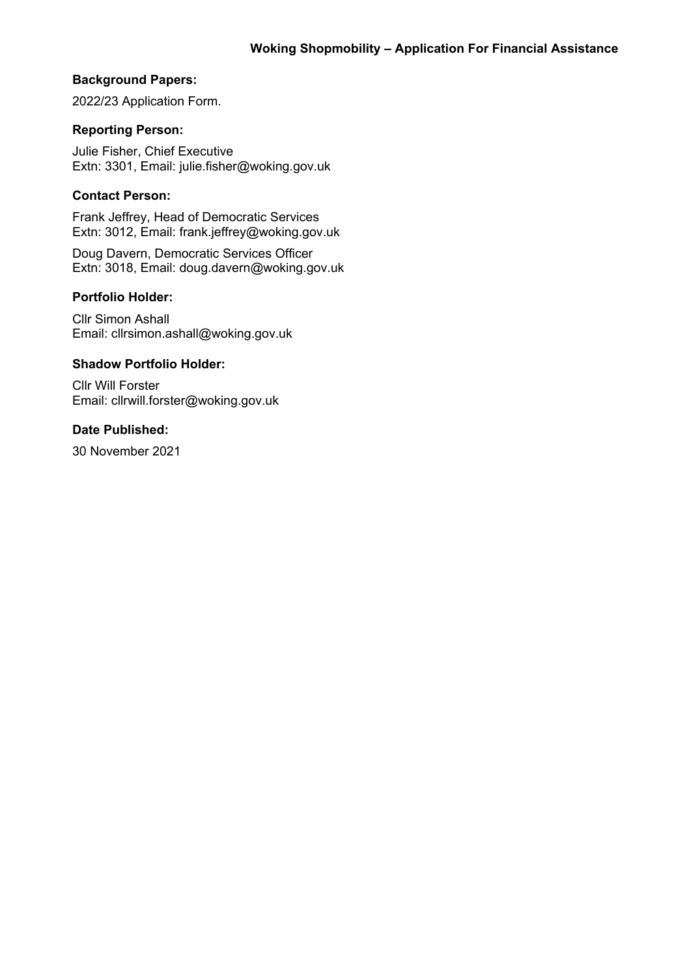## **Background Papers:**

2022/23 Application Form.

## **Reporting Person:**

Julie Fisher, Chief Executive Extn: 3301, Email: julie.fisher@woking.gov.uk

# **Contact Person:**

Frank Jeffrey, Head of Democratic Services Extn: 3012, Email: frank.jeffrey@woking.gov.uk

Doug Davern, Democratic Services Officer Extn: 3018, Email: doug.davern@woking.gov.uk

### **Portfolio Holder:**

Cllr Simon Ashall Email: cllrsimon.ashall@woking.gov.uk

### **Shadow Portfolio Holder:**

Cllr Will Forster Email: cllrwill.forster@woking.gov.uk

# **Date Published:**

30 November 2021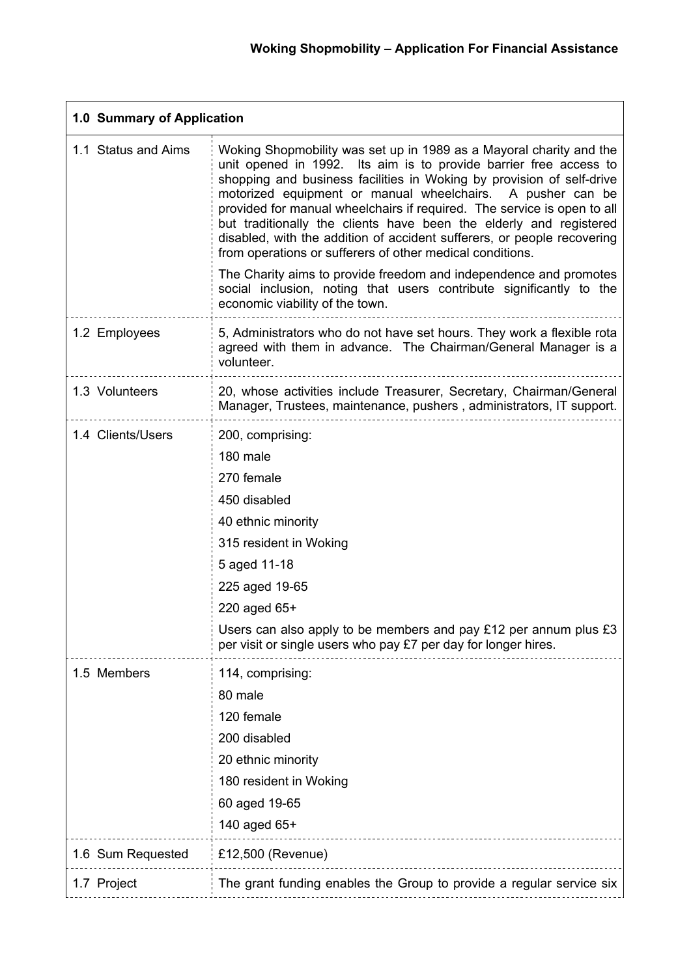| 1.0 Summary of Application |                                                                                                                                                                                                                                                                                                                                                                                                                                                                                                                                                                                                                                               |
|----------------------------|-----------------------------------------------------------------------------------------------------------------------------------------------------------------------------------------------------------------------------------------------------------------------------------------------------------------------------------------------------------------------------------------------------------------------------------------------------------------------------------------------------------------------------------------------------------------------------------------------------------------------------------------------|
| 1.1 Status and Aims        | Woking Shopmobility was set up in 1989 as a Mayoral charity and the<br>unit opened in 1992. Its aim is to provide barrier free access to<br>shopping and business facilities in Woking by provision of self-drive<br>motorized equipment or manual wheelchairs. A pusher can be<br>provided for manual wheelchairs if required. The service is open to all<br>but traditionally the clients have been the elderly and registered<br>disabled, with the addition of accident sufferers, or people recovering<br>from operations or sufferers of other medical conditions.<br>The Charity aims to provide freedom and independence and promotes |
|                            | social inclusion, noting that users contribute significantly to the<br>economic viability of the town.                                                                                                                                                                                                                                                                                                                                                                                                                                                                                                                                        |
| 1.2 Employees              | 5, Administrators who do not have set hours. They work a flexible rota<br>agreed with them in advance. The Chairman/General Manager is a<br>volunteer.                                                                                                                                                                                                                                                                                                                                                                                                                                                                                        |
| 1.3 Volunteers             | 20, whose activities include Treasurer, Secretary, Chairman/General<br>Manager, Trustees, maintenance, pushers, administrators, IT support.                                                                                                                                                                                                                                                                                                                                                                                                                                                                                                   |
| 1.4 Clients/Users          | 200, comprising:<br>180 male<br>270 female<br>450 disabled<br>40 ethnic minority<br>315 resident in Woking<br>5 aged 11-18<br>225 aged 19-65<br>220 aged 65+<br>Users can also apply to be members and pay $£12$ per annum plus $£3$<br>per visit or single users who pay £7 per day for longer hires.                                                                                                                                                                                                                                                                                                                                        |
| 1.5 Members                | 114, comprising:<br>80 male<br>120 female<br>200 disabled<br>20 ethnic minority<br>180 resident in Woking<br>60 aged 19-65<br>140 aged 65+                                                                                                                                                                                                                                                                                                                                                                                                                                                                                                    |
| 1.6 Sum Requested          | £12,500 (Revenue)                                                                                                                                                                                                                                                                                                                                                                                                                                                                                                                                                                                                                             |
| 1.7 Project                | The grant funding enables the Group to provide a regular service six                                                                                                                                                                                                                                                                                                                                                                                                                                                                                                                                                                          |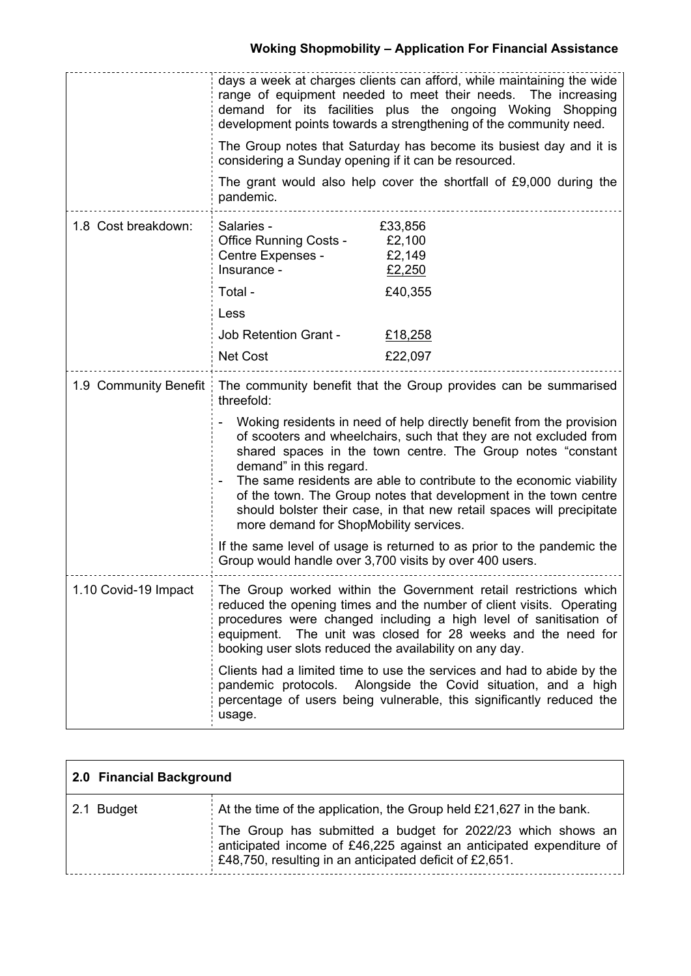|                       | considering a Sunday opening if it can be resourced.<br>pandemic.                                                                                                                                                                                                                                                                                                                                                                                                                                                                                                                                                                                                                                                       | days a week at charges clients can afford, while maintaining the wide<br>range of equipment needed to meet their needs. The increasing<br>demand for its facilities plus the ongoing Woking<br>Shopping<br>development points towards a strengthening of the community need.<br>The Group notes that Saturday has become its busiest day and it is<br>The grant would also help cover the shortfall of £9,000 during the |
|-----------------------|-------------------------------------------------------------------------------------------------------------------------------------------------------------------------------------------------------------------------------------------------------------------------------------------------------------------------------------------------------------------------------------------------------------------------------------------------------------------------------------------------------------------------------------------------------------------------------------------------------------------------------------------------------------------------------------------------------------------------|--------------------------------------------------------------------------------------------------------------------------------------------------------------------------------------------------------------------------------------------------------------------------------------------------------------------------------------------------------------------------------------------------------------------------|
| 1.8 Cost breakdown:   | Salaries -<br><b>Office Running Costs -</b><br>Centre Expenses -<br>Insurance -<br>Total -<br>Less<br><b>Job Retention Grant -</b><br><b>Net Cost</b>                                                                                                                                                                                                                                                                                                                                                                                                                                                                                                                                                                   | £33,856<br>£2,100<br>£2,149<br>£2,250<br>£40,355<br>£18,258<br>£22,097                                                                                                                                                                                                                                                                                                                                                   |
| 1.9 Community Benefit | The community benefit that the Group provides can be summarised<br>threefold:<br>Woking residents in need of help directly benefit from the provision<br>of scooters and wheelchairs, such that they are not excluded from<br>shared spaces in the town centre. The Group notes "constant<br>demand" in this regard.<br>The same residents are able to contribute to the economic viability<br>of the town. The Group notes that development in the town centre<br>should bolster their case, in that new retail spaces will precipitate<br>more demand for ShopMobility services.<br>If the same level of usage is returned to as prior to the pandemic the<br>Group would handle over 3,700 visits by over 400 users. |                                                                                                                                                                                                                                                                                                                                                                                                                          |
| 1.10 Covid-19 Impact  | The Group worked within the Government retail restrictions which<br>reduced the opening times and the number of client visits. Operating<br>procedures were changed including a high level of sanitisation of<br>equipment. The unit was closed for 28 weeks and the need for<br>booking user slots reduced the availability on any day.<br>Clients had a limited time to use the services and had to abide by the<br>Alongside the Covid situation, and a high<br>pandemic protocols.<br>percentage of users being vulnerable, this significantly reduced the<br>usage.                                                                                                                                                |                                                                                                                                                                                                                                                                                                                                                                                                                          |

| 2.0 Financial Background |                                                                                                                                                                                                      |
|--------------------------|------------------------------------------------------------------------------------------------------------------------------------------------------------------------------------------------------|
| 2.1 Budget               | At the time of the application, the Group held $£21,627$ in the bank.                                                                                                                                |
|                          | The Group has submitted a budget for 2022/23 which shows an<br>anticipated income of £46,225 against an anticipated expenditure of<br>$\pm 248,750$ , resulting in an anticipated deficit of £2,651. |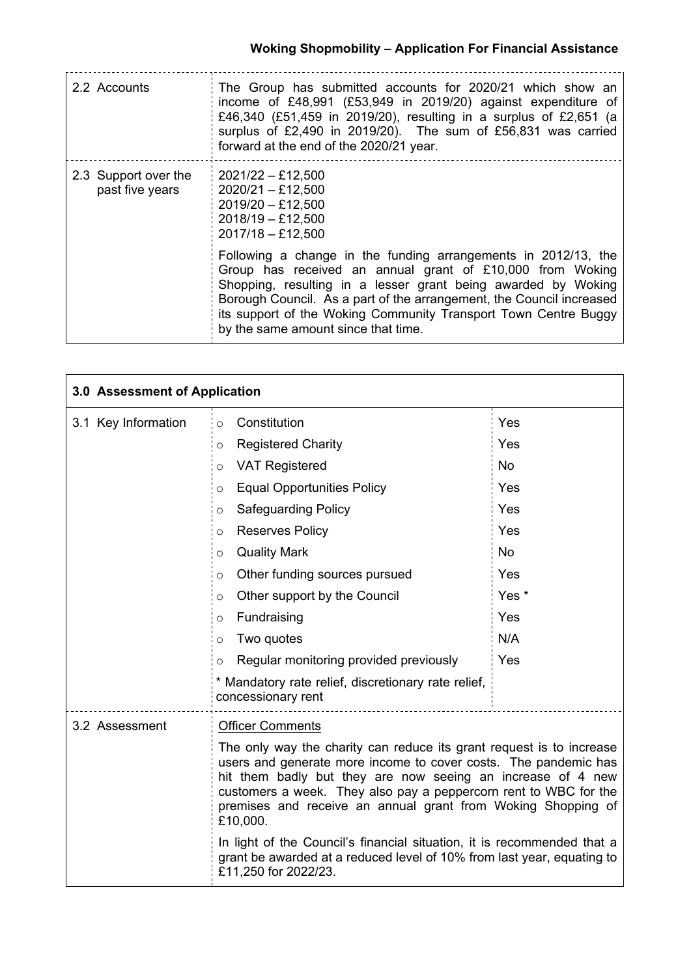| 2.2 Accounts                            | The Group has submitted accounts for 2020/21 which show an<br>income of £48,991 (£53,949 in 2019/20) against expenditure of<br>£46,340 (£51,459 in 2019/20), resulting in a surplus of £2,651 (a<br>surplus of £2,490 in 2019/20). The sum of £56,831 was carried<br>forward at the end of the 2020/21 year.                                                                   |
|-----------------------------------------|--------------------------------------------------------------------------------------------------------------------------------------------------------------------------------------------------------------------------------------------------------------------------------------------------------------------------------------------------------------------------------|
| 2.3 Support over the<br>past five years | $2021/22 - £12,500$<br>$2020/21 - £12,500$<br>$2019/20 - £12,500$<br>$2018/19 - £12,500$<br>$2017/18 - £12,500$                                                                                                                                                                                                                                                                |
|                                         | Following a change in the funding arrangements in 2012/13, the<br>Group has received an annual grant of £10,000 from Woking<br>Shopping, resulting in a lesser grant being awarded by Woking<br>Borough Council. As a part of the arrangement, the Council increased<br>its support of the Woking Community Transport Town Centre Buggy<br>by the same amount since that time. |

| 3.0 Assessment of Application |                                                                                                                                                                                                                                                                                                                                                        |           |
|-------------------------------|--------------------------------------------------------------------------------------------------------------------------------------------------------------------------------------------------------------------------------------------------------------------------------------------------------------------------------------------------------|-----------|
| 3.1 Key Information           | Constitution<br>$\circ$                                                                                                                                                                                                                                                                                                                                | Yes       |
|                               | <b>Registered Charity</b><br>$\circ$                                                                                                                                                                                                                                                                                                                   | Yes       |
|                               | <b>VAT Registered</b><br>$\circ$                                                                                                                                                                                                                                                                                                                       | <b>No</b> |
|                               | <b>Equal Opportunities Policy</b><br>$\circ$                                                                                                                                                                                                                                                                                                           | Yes       |
|                               | <b>Safeguarding Policy</b><br>O                                                                                                                                                                                                                                                                                                                        | Yes       |
|                               | <b>Reserves Policy</b><br>$\circ$                                                                                                                                                                                                                                                                                                                      | Yes       |
|                               | <b>Quality Mark</b><br>$\circ$                                                                                                                                                                                                                                                                                                                         | <b>No</b> |
|                               | Other funding sources pursued<br>$\circ$                                                                                                                                                                                                                                                                                                               | Yes       |
|                               | Other support by the Council<br>$\circ$                                                                                                                                                                                                                                                                                                                | Yes *     |
|                               | Fundraising<br>O                                                                                                                                                                                                                                                                                                                                       | Yes       |
|                               | Two quotes<br>O                                                                                                                                                                                                                                                                                                                                        | N/A       |
|                               | Regular monitoring provided previously<br>O                                                                                                                                                                                                                                                                                                            | Yes       |
|                               | * Mandatory rate relief, discretionary rate relief,<br>concessionary rent                                                                                                                                                                                                                                                                              |           |
| 3.2 Assessment                | <b>Officer Comments</b>                                                                                                                                                                                                                                                                                                                                |           |
|                               | The only way the charity can reduce its grant request is to increase<br>users and generate more income to cover costs. The pandemic has<br>hit them badly but they are now seeing an increase of 4 new<br>customers a week. They also pay a peppercorn rent to WBC for the<br>premises and receive an annual grant from Woking Shopping of<br>£10,000. |           |
|                               | In light of the Council's financial situation, it is recommended that a<br>grant be awarded at a reduced level of 10% from last year, equating to<br>£11,250 for 2022/23.                                                                                                                                                                              |           |